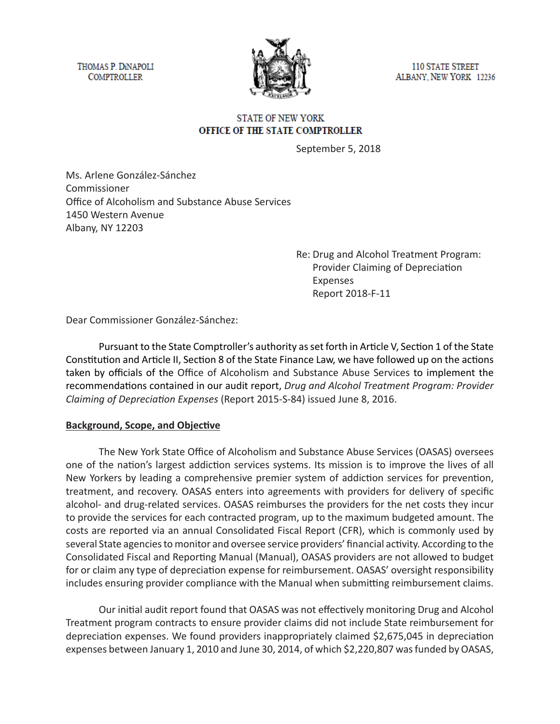THOMAS P. DINAPOLI **COMPTROLLER** 



**110 STATE STREET** ALBANY, NEW YORK 12236

## **STATE OF NEW YORK** OFFICE OF THE STATE COMPTROLLER

September 5, 2018

Ms. Arlene González-Sánchez Commissioner Office of Alcoholism and Substance Abuse Services 1450 Western Avenue Albany, NY 12203

> Re: Drug and Alcohol Treatment Program: Provider Claiming of Depreciation Expenses Report 2018-F-11

Dear Commissioner González-Sánchez:

Pursuant to the State Comptroller's authority as set forth in Article V, Section 1 of the State Constitution and Article II, Section 8 of the State Finance Law, we have followed up on the actions taken by officials of the Office of Alcoholism and Substance Abuse Services to implement the recommendations contained in our audit report, *Drug and Alcohol Treatment Program: Provider Claiming of Depreciation Expenses* (Report 2015-S-84) issued June 8, 2016.

# **Background, Scope, and Objective**

The New York State Office of Alcoholism and Substance Abuse Services (OASAS) oversees one of the nation's largest addiction services systems. Its mission is to improve the lives of all New Yorkers by leading a comprehensive premier system of addiction services for prevention, treatment, and recovery. OASAS enters into agreements with providers for delivery of specific alcohol- and drug-related services. OASAS reimburses the providers for the net costs they incur to provide the services for each contracted program, up to the maximum budgeted amount. The costs are reported via an annual Consolidated Fiscal Report (CFR), which is commonly used by several State agencies to monitor and oversee service providers' financial activity. According to the Consolidated Fiscal and Reporting Manual (Manual), OASAS providers are not allowed to budget for or claim any type of depreciation expense for reimbursement. OASAS' oversight responsibility includes ensuring provider compliance with the Manual when submitting reimbursement claims.

Our initial audit report found that OASAS was not effectively monitoring Drug and Alcohol Treatment program contracts to ensure provider claims did not include State reimbursement for depreciation expenses. We found providers inappropriately claimed \$2,675,045 in depreciation expenses between January 1, 2010 and June 30, 2014, of which \$2,220,807 was funded by OASAS,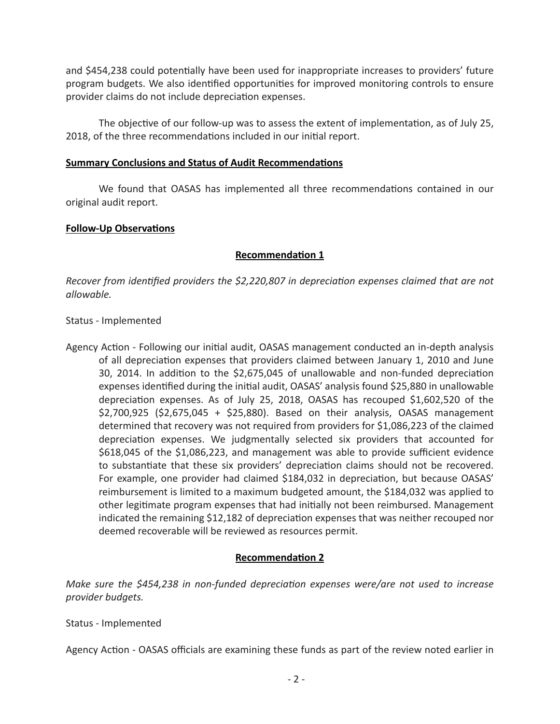and \$454,238 could potentially have been used for inappropriate increases to providers' future program budgets. We also identified opportunities for improved monitoring controls to ensure provider claims do not include depreciation expenses.

The objective of our follow-up was to assess the extent of implementation, as of July 25, 2018, of the three recommendations included in our initial report.

### **Summary Conclusions and Status of Audit Recommendations**

We found that OASAS has implemented all three recommendations contained in our original audit report.

## **Follow-Up Observations**

# **Recommendation 1**

*Recover from identified providers the \$2,220,807 in depreciation expenses claimed that are not allowable.* 

## Status - Implemented

Agency Action - Following our initial audit, OASAS management conducted an in-depth analysis of all depreciation expenses that providers claimed between January 1, 2010 and June 30, 2014. In addition to the \$2,675,045 of unallowable and non-funded depreciation expenses identified during the initial audit, OASAS' analysis found \$25,880 in unallowable depreciation expenses. As of July 25, 2018, OASAS has recouped \$1,602,520 of the \$2,700,925 (\$2,675,045 + \$25,880). Based on their analysis, OASAS management determined that recovery was not required from providers for \$1,086,223 of the claimed depreciation expenses. We judgmentally selected six providers that accounted for \$618,045 of the \$1,086,223, and management was able to provide sufficient evidence to substantiate that these six providers' depreciation claims should not be recovered. For example, one provider had claimed \$184,032 in depreciation, but because OASAS' reimbursement is limited to a maximum budgeted amount, the \$184,032 was applied to other legitimate program expenses that had initially not been reimbursed. Management indicated the remaining \$12,182 of depreciation expenses that was neither recouped nor deemed recoverable will be reviewed as resources permit.

# **Recommendation 2**

*Make sure the \$454,238 in non-funded depreciation expenses were/are not used to increase provider budgets.* 

### Status - Implemented

Agency Action - OASAS officials are examining these funds as part of the review noted earlier in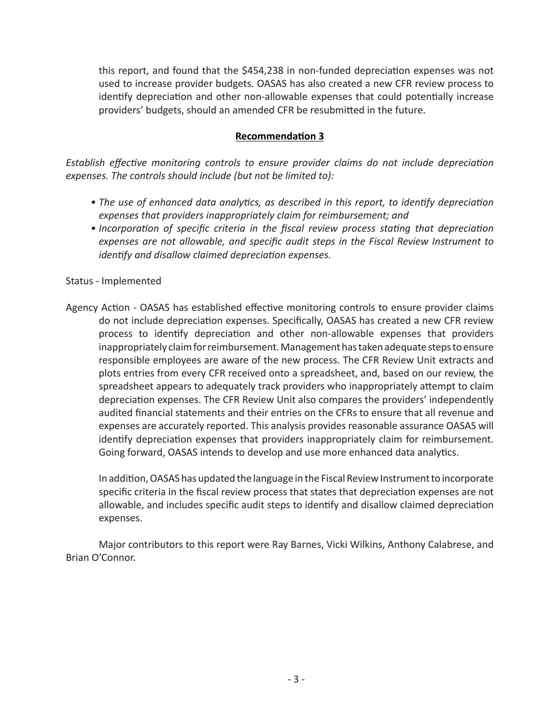this report, and found that the \$454,238 in non-funded depreciation expenses was not used to increase provider budgets. OASAS has also created a new CFR review process to identify depreciation and other non-allowable expenses that could potentially increase providers' budgets, should an amended CFR be resubmitted in the future.

## **Recommendation 3**

*Establish effective monitoring controls to ensure provider claims do not include depreciation expenses. The controls should include (but not be limited to):* 

- *• The use of enhanced data analytics, as described in this report, to identify depreciation expenses that providers inappropriately claim for reimbursement; and*
- *• Incorporation of specific criteria in the fiscal review process stating that depreciation expenses are not allowable, and specific audit steps in the Fiscal Review Instrument to identify and disallow claimed depreciation expenses.*

### Status - Implemented

Agency Action - OASAS has established effective monitoring controls to ensure provider claims do not include depreciation expenses. Specifically, OASAS has created a new CFR review process to identify depreciation and other non-allowable expenses that providers inappropriately claim for reimbursement. Management has taken adequate steps to ensure responsible employees are aware of the new process. The CFR Review Unit extracts and plots entries from every CFR received onto a spreadsheet, and, based on our review, the spreadsheet appears to adequately track providers who inappropriately attempt to claim depreciation expenses. The CFR Review Unit also compares the providers' independently audited financial statements and their entries on the CFRs to ensure that all revenue and expenses are accurately reported. This analysis provides reasonable assurance OASAS will identify depreciation expenses that providers inappropriately claim for reimbursement. Going forward, OASAS intends to develop and use more enhanced data analytics.

In addition, OASAS has updated the language in the Fiscal Review Instrument to incorporate specific criteria in the fiscal review process that states that depreciation expenses are not allowable, and includes specific audit steps to identify and disallow claimed depreciation expenses.

Major contributors to this report were Ray Barnes, Vicki Wilkins, Anthony Calabrese, and Brian O'Connor.